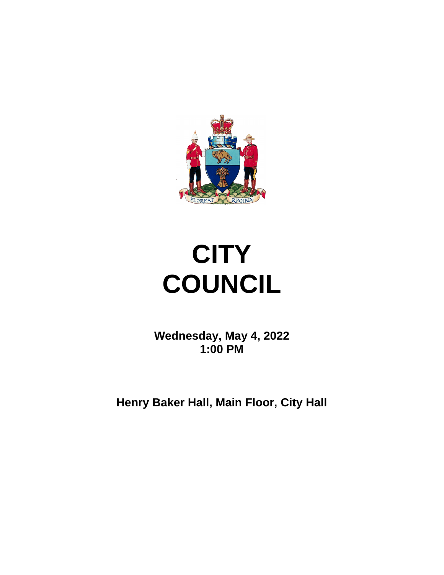

# **CITY COUNCIL**

**Wednesday, May 4, 2022 1:00 PM**

**Henry Baker Hall, Main Floor, City Hall**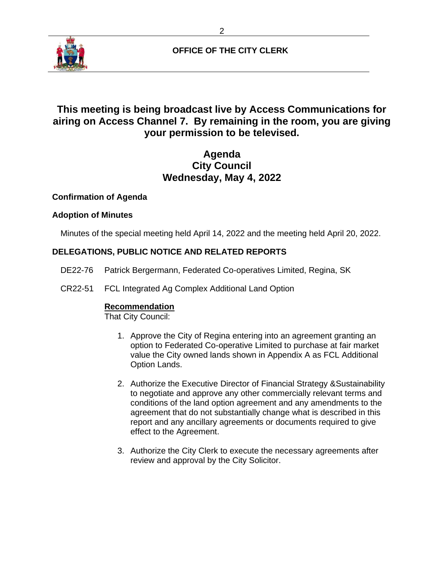

# **OFFICE OF THE CITY CLERK**

# **This meeting is being broadcast live by Access Communications for airing on Access Channel 7. By remaining in the room, you are giving your permission to be televised.**

# **Agenda City Council Wednesday, May 4, 2022**

## **Confirmation of Agenda**

## **Adoption of Minutes**

Minutes of the special meeting held April 14, 2022 and the meeting held April 20, 2022.

## **DELEGATIONS, PUBLIC NOTICE AND RELATED REPORTS**

- DE22-76 Patrick Bergermann, Federated Co-operatives Limited, Regina, SK
- CR22-51 FCL Integrated Ag Complex Additional Land Option

#### **Recommendation**

That City Council:

- 1. Approve the City of Regina entering into an agreement granting an option to Federated Co-operative Limited to purchase at fair market value the City owned lands shown in Appendix A as FCL Additional Option Lands.
- 2. Authorize the Executive Director of Financial Strategy &Sustainability to negotiate and approve any other commercially relevant terms and conditions of the land option agreement and any amendments to the agreement that do not substantially change what is described in this report and any ancillary agreements or documents required to give effect to the Agreement.
- 3. Authorize the City Clerk to execute the necessary agreements after review and approval by the City Solicitor.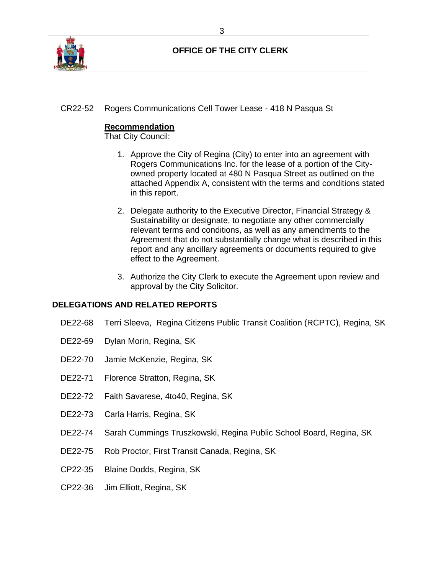

# **OFFICE OF THE CITY CLERK**

CR22-52 Rogers Communications Cell Tower Lease - 418 N Pasqua St

#### **Recommendation**

That City Council:

- 1. Approve the City of Regina (City) to enter into an agreement with Rogers Communications Inc. for the lease of a portion of the Cityowned property located at 480 N Pasqua Street as outlined on the attached Appendix A, consistent with the terms and conditions stated in this report.
- 2. Delegate authority to the Executive Director, Financial Strategy & Sustainability or designate, to negotiate any other commercially relevant terms and conditions, as well as any amendments to the Agreement that do not substantially change what is described in this report and any ancillary agreements or documents required to give effect to the Agreement.
- 3. Authorize the City Clerk to execute the Agreement upon review and approval by the City Solicitor.

### **DELEGATIONS AND RELATED REPORTS**

- DE22-68 Terri Sleeva, Regina Citizens Public Transit Coalition (RCPTC), Regina, SK
- DE22-69 Dylan Morin, Regina, SK
- DE22-70 Jamie McKenzie, Regina, SK
- DE22-71 Florence Stratton, Regina, SK
- DE22-72 Faith Savarese, 4to40, Regina, SK
- DE22-73 Carla Harris, Regina, SK
- DE22-74 Sarah Cummings Truszkowski, Regina Public School Board, Regina, SK
- DE22-75 Rob Proctor, First Transit Canada, Regina, SK
- CP22-35 Blaine Dodds, Regina, SK
- CP22-36 Jim Elliott, Regina, SK